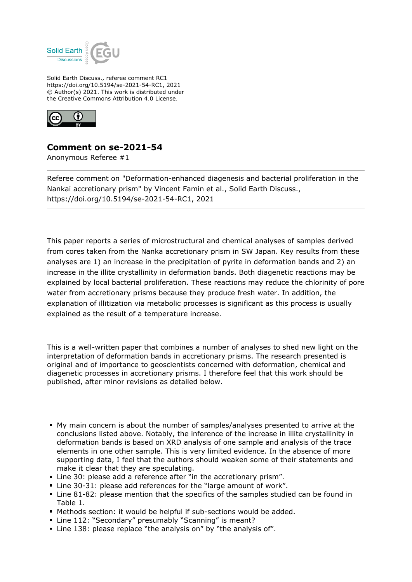

Solid Earth Discuss., referee comment RC1 https://doi.org/10.5194/se-2021-54-RC1, 2021 © Author(s) 2021. This work is distributed under the Creative Commons Attribution 4.0 License.



## **Comment on se-2021-54**

Anonymous Referee #1

Referee comment on "Deformation-enhanced diagenesis and bacterial proliferation in the Nankai accretionary prism" by Vincent Famin et al., Solid Earth Discuss., https://doi.org/10.5194/se-2021-54-RC1, 2021

This paper reports a series of microstructural and chemical analyses of samples derived from cores taken from the Nanka accretionary prism in SW Japan. Key results from these analyses are 1) an increase in the precipitation of pyrite in deformation bands and 2) an increase in the illite crystallinity in deformation bands. Both diagenetic reactions may be explained by local bacterial proliferation. These reactions may reduce the chlorinity of pore water from accretionary prisms because they produce fresh water. In addition, the explanation of illitization via metabolic processes is significant as this process is usually explained as the result of a temperature increase.

This is a well-written paper that combines a number of analyses to shed new light on the interpretation of deformation bands in accretionary prisms. The research presented is original and of importance to geoscientists concerned with deformation, chemical and diagenetic processes in accretionary prisms. I therefore feel that this work should be published, after minor revisions as detailed below.

- My main concern is about the number of samples/analyses presented to arrive at the conclusions listed above. Notably, the inference of the increase in illite crystallinity in deformation bands is based on XRD analysis of one sample and analysis of the trace elements in one other sample. This is very limited evidence. In the absence of more supporting data, I feel that the authors should weaken some of their statements and make it clear that they are speculating.
- Line 30: please add a reference after "in the accretionary prism".
- Line 30-31: please add references for the "large amount of work".
- Line 81-82: please mention that the specifics of the samples studied can be found in Table 1.
- Methods section: it would be helpful if sub-sections would be added.
- Line 112: "Secondary" presumably "Scanning" is meant?
- Line 138: please replace "the analysis on" by "the analysis of".